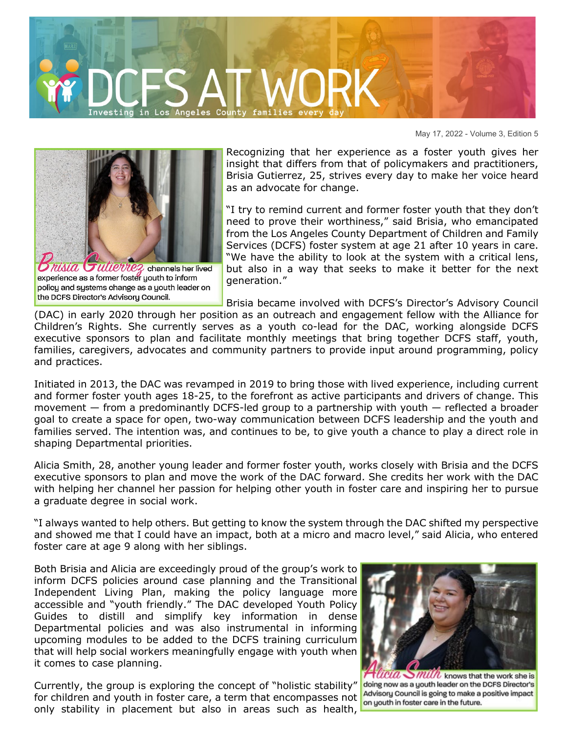

May 17, 2022 - Volume 3, Edition 5



Drusia *Gutiernez* channels her lived<br>experience as a former foster youth to inform policy and systems change as a youth leader on the DCFS Director's Advisory Council.

Recognizing that her experience as a foster youth gives her insight that differs from that of policymakers and practitioners, Brisia Gutierrez, 25, strives every day to make her voice heard as an advocate for change.

"I try to remind current and former foster youth that they don't need to prove their worthiness," said Brisia, who emancipated from the Los Angeles County Department of Children and Family Services (DCFS) foster system at age 21 after 10 years in care. "We have the ability to look at the system with a critical lens, but also in a way that seeks to make it better for the next generation."

Brisia became involved with DCFS's Director's Advisory Council

(DAC) in early 2020 through her position as an outreach and engagement fellow with the Alliance for Children's Rights. She currently serves as a youth co-lead for the DAC, working alongside DCFS executive sponsors to plan and facilitate monthly meetings that bring together DCFS staff, youth, families, caregivers, advocates and community partners to provide input around programming, policy and practices.

Initiated in 2013, the DAC was revamped in 2019 to bring those with lived experience, including current and former foster youth ages 18-25, to the forefront as active participants and drivers of change. This movement — from a predominantly DCFS-led group to a partnership with youth — reflected a broader goal to create a space for open, two-way communication between DCFS leadership and the youth and families served. The intention was, and continues to be, to give youth a chance to play a direct role in shaping Departmental priorities.

Alicia Smith, 28, another young leader and former foster youth, works closely with Brisia and the DCFS executive sponsors to plan and move the work of the DAC forward. She credits her work with the DAC with helping her channel her passion for helping other youth in foster care and inspiring her to pursue a graduate degree in social work.

"I always wanted to help others. But getting to know the system through the DAC shifted my perspective and showed me that I could have an impact, both at a micro and macro level," said Alicia, who entered foster care at age 9 along with her siblings.

Both Brisia and Alicia are exceedingly proud of the group's work to inform DCFS policies around case planning and the Transitional Independent Living Plan, making the policy language more accessible and "youth friendly." The DAC developed Youth Policy Guides to distill and simplify key information in dense Departmental policies and was also instrumental in informing upcoming modules to be added to the DCFS training curriculum that will help social workers meaningfully engage with youth when it comes to case planning.

Currently, the group is exploring the concept of "holistic stability" for children and youth in foster care, a term that encompasses not only stability in placement but also in areas such as health,



 $ulca$   $\rightarrow$   $mlh$  knows that the work she is doing now as a youth leader on the DCFS Director's Advisory Council is going to make a positive impact on youth in foster care in the future.